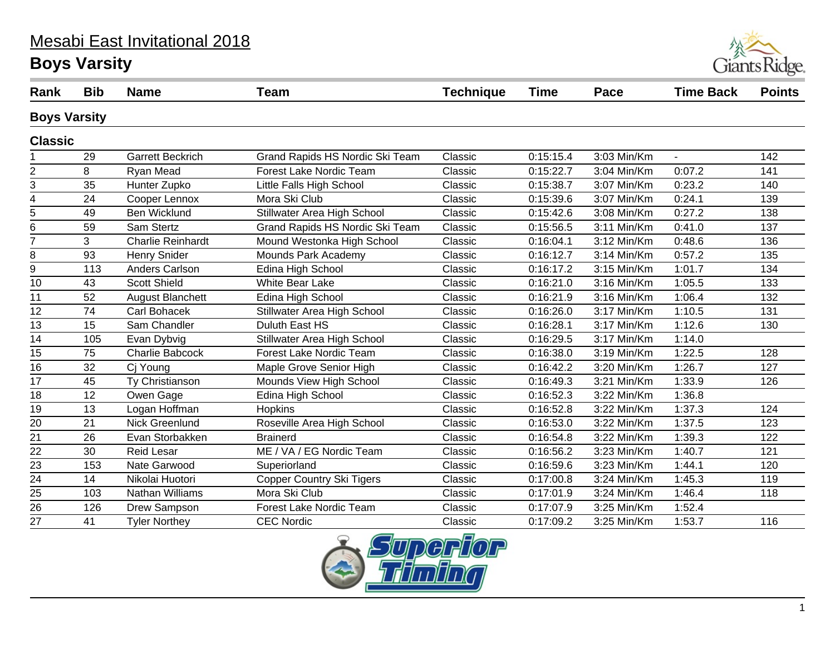#### Mesabi East Invitational 2018

# **Boys Varsity**



| Rank                | <b>Bib</b> | <b>Name</b>              | <b>Team</b>                      | <b>Technique</b> | <b>Time</b> | Pace          | <b>Time Back</b> | <b>Points</b> |
|---------------------|------------|--------------------------|----------------------------------|------------------|-------------|---------------|------------------|---------------|
| <b>Boys Varsity</b> |            |                          |                                  |                  |             |               |                  |               |
| <b>Classic</b>      |            |                          |                                  |                  |             |               |                  |               |
|                     | 29         | <b>Garrett Beckrich</b>  | Grand Rapids HS Nordic Ski Team  | Classic          | 0:15:15.4   | 3:03 Min/Km   | $\mathbf{r}$     | 142           |
| $\overline{2}$      | 8          | Ryan Mead                | Forest Lake Nordic Team          | Classic          | 0:15:22.7   | 3:04 Min/Km   | 0:07.2           | 141           |
| 3                   | 35         | Hunter Zupko             | Little Falls High School         | Classic          | 0:15:38.7   | 3:07 Min/Km   | 0:23.2           | 140           |
| 4                   | 24         | Cooper Lennox            | Mora Ski Club                    | Classic          | 0:15:39.6   | 3:07 Min/Km   | 0:24.1           | 139           |
| $\overline{5}$      | 49         | <b>Ben Wicklund</b>      | Stillwater Area High School      | Classic          | 0:15:42.6   | 3:08 Min/Km   | 0:27.2           | 138           |
| 6                   | 59         | Sam Stertz               | Grand Rapids HS Nordic Ski Team  | Classic          | 0:15:56.5   | 3:11 Min/Km   | 0:41.0           | 137           |
| $\overline{7}$      | 3          | <b>Charlie Reinhardt</b> | Mound Westonka High School       | Classic          | 0:16:04.1   | 3:12 Min/Km   | 0:48.6           | 136           |
| $\bf 8$             | 93         | <b>Henry Snider</b>      | Mounds Park Academy              | Classic          | 0:16:12.7   | 3:14 Min/Km   | 0:57.2           | 135           |
| 9                   | 113        | Anders Carlson           | Edina High School                | Classic          | 0:16:17.2   | 3:15 Min/Km   | 1:01.7           | 134           |
| $\overline{10}$     | 43         | <b>Scott Shield</b>      | <b>White Bear Lake</b>           | Classic          | 0:16:21.0   | 3:16 Min/Km   | 1:05.5           | 133           |
| 11                  | 52         | <b>August Blanchett</b>  | Edina High School                | Classic          | 0:16:21.9   | 3:16 Min/Km   | 1:06.4           | 132           |
| $\overline{12}$     | 74         | Carl Bohacek             | Stillwater Area High School      | Classic          | 0:16:26.0   | 3:17 Min/Km   | 1:10.5           | 131           |
| 13                  | 15         | Sam Chandler             | Duluth East HS                   | Classic          | 0:16:28.1   | 3:17 Min/Km   | 1:12.6           | 130           |
| $\overline{14}$     | 105        | Evan Dybvig              | Stillwater Area High School      | Classic          | 0:16:29.5   | 3:17 Min/Km   | 1:14.0           |               |
| 15                  | 75         | <b>Charlie Babcock</b>   | <b>Forest Lake Nordic Team</b>   | Classic          | 0:16:38.0   | 3:19 Min/Km   | 1:22.5           | 128           |
| 16                  | 32         | Cj Young                 | Maple Grove Senior High          | Classic          | 0:16:42.2   | 3:20 Min/Km   | 1:26.7           | 127           |
| 17                  | 45         | Ty Christianson          | Mounds View High School          | Classic          | 0:16:49.3   | 3:21 Min/Km   | 1:33.9           | 126           |
| 18                  | 12         | Owen Gage                | Edina High School                | Classic          | 0:16:52.3   | 3:22 Min/Km   | 1:36.8           |               |
| 19                  | 13         | Logan Hoffman            | <b>Hopkins</b>                   | Classic          | 0:16:52.8   | 3:22 Min/Km   | 1:37.3           | 124           |
| 20                  | 21         | Nick Greenlund           | Roseville Area High School       | Classic          | 0:16:53.0   | 3:22 Min/Km   | 1:37.5           | 123           |
| $\overline{21}$     | 26         | Evan Storbakken          | <b>Brainerd</b>                  | Classic          | 0:16:54.8   | 3:22 Min/Km   | 1:39.3           | 122           |
| $\overline{22}$     | 30         | <b>Reid Lesar</b>        | ME / VA / EG Nordic Team         | Classic          | 0:16:56.2   | 3:23 Min/Km   | 1:40.7           | 121           |
| 23                  | 153        | Nate Garwood             | Superiorland                     | Classic          | 0:16:59.6   | 3:23 Min/Km   | 1:44.1           | 120           |
| $\overline{24}$     | 14         | Nikolai Huotori          | <b>Copper Country Ski Tigers</b> | Classic          | 0:17:00.8   | $3:24$ Min/Km | 1:45.3           | 119           |
| 25                  | 103        | Nathan Williams          | Mora Ski Club                    | Classic          | 0:17:01.9   | 3:24 Min/Km   | 1:46.4           | 118           |
| $\overline{26}$     | 126        | Drew Sampson             | Forest Lake Nordic Team          | Classic          | 0:17:07.9   | 3:25 Min/Km   | 1:52.4           |               |
| 27                  | 41         | <b>Tyler Northey</b>     | <b>CEC Nordic</b>                | Classic          | 0:17:09.2   | 3:25 Min/Km   | 1:53.7           | 116           |

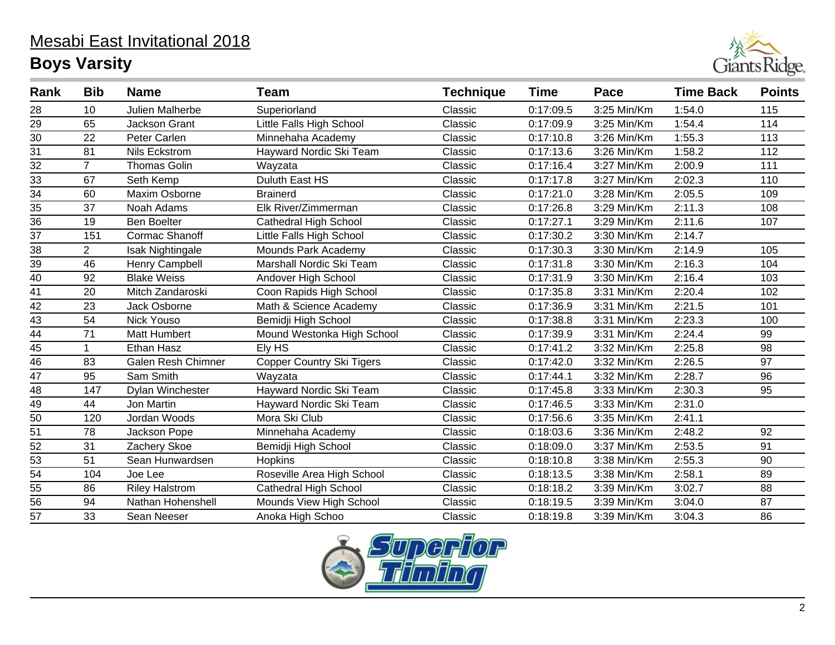

| Rank            | <b>Bib</b>     | <b>Name</b>           | <b>Team</b>                      | <b>Technique</b> | <b>Time</b> | Pace        | <b>Time Back</b> | <b>Points</b> |
|-----------------|----------------|-----------------------|----------------------------------|------------------|-------------|-------------|------------------|---------------|
| 28              | 10             | Julien Malherbe       | Superiorland                     | Classic          | 0:17:09.5   | 3:25 Min/Km | 1:54.0           | 115           |
| $\overline{29}$ | 65             | <b>Jackson Grant</b>  | Little Falls High School         | Classic          | 0:17:09.9   | 3:25 Min/Km | 1:54.4           | 114           |
| $\overline{30}$ | 22             | Peter Carlen          | Minnehaha Academy                | Classic          | 0:17:10.8   | 3:26 Min/Km | 1:55.3           | 113           |
| $\overline{31}$ | 81             | Nils Eckstrom         | Hayward Nordic Ski Team          | Classic          | 0:17:13.6   | 3:26 Min/Km | 1:58.2           | 112           |
| $\overline{32}$ | 7              | <b>Thomas Golin</b>   | Wayzata                          | Classic          | 0:17:16.4   | 3:27 Min/Km | 2:00.9           | 111           |
| $\overline{33}$ | 67             | Seth Kemp             | Duluth East HS                   | Classic          | 0:17:17.8   | 3:27 Min/Km | 2:02.3           | 110           |
| $\overline{34}$ | 60             | Maxim Osborne         | <b>Brainerd</b>                  | Classic          | 0:17:21.0   | 3:28 Min/Km | 2:05.5           | 109           |
| 35              | 37             | Noah Adams            | Elk River/Zimmerman              | Classic          | 0:17:26.8   | 3:29 Min/Km | 2:11.3           | 108           |
| $\overline{36}$ | 19             | <b>Ben Boelter</b>    | <b>Cathedral High School</b>     | Classic          | 0:17:27.1   | 3:29 Min/Km | 2:11.6           | 107           |
| 37              | 151            | <b>Cormac Shanoff</b> | Little Falls High School         | Classic          | 0:17:30.2   | 3:30 Min/Km | 2:14.7           |               |
| 38              | $\overline{2}$ | Isak Nightingale      | Mounds Park Academy              | Classic          | 0:17:30.3   | 3:30 Min/Km | 2:14.9           | 105           |
| 39              | 46             | Henry Campbell        | Marshall Nordic Ski Team         | Classic          | 0:17:31.8   | 3:30 Min/Km | 2:16.3           | 104           |
| $\overline{40}$ | 92             | <b>Blake Weiss</b>    | Andover High School              | Classic          | 0:17:31.9   | 3:30 Min/Km | 2:16.4           | 103           |
| 41              | 20             | Mitch Zandaroski      | Coon Rapids High School          | Classic          | 0:17:35.8   | 3:31 Min/Km | 2:20.4           | 102           |
| $\overline{42}$ | 23             | Jack Osborne          | Math & Science Academy           | Classic          | 0:17:36.9   | 3:31 Min/Km | 2:21.5           | 101           |
| 43              | 54             | Nick Youso            | Bemidji High School              | Classic          | 0:17:38.8   | 3:31 Min/Km | 2:23.3           | 100           |
| $\overline{44}$ | 71             | Matt Humbert          | Mound Westonka High School       | Classic          | 0:17:39.9   | 3:31 Min/Km | 2:24.4           | 99            |
| 45              |                | Ethan Hasz            | Ely HS                           | Classic          | 0:17:41.2   | 3:32 Min/Km | 2:25.8           | 98            |
| $\overline{46}$ | 83             | Galen Resh Chimner    | <b>Copper Country Ski Tigers</b> | Classic          | 0:17:42.0   | 3:32 Min/Km | 2:26.5           | 97            |
| 47              | 95             | Sam Smith             | Wayzata                          | Classic          | 0:17:44.1   | 3:32 Min/Km | 2:28.7           | 96            |
| $\overline{48}$ | 147            | Dylan Winchester      | Hayward Nordic Ski Team          | Classic          | 0:17:45.8   | 3:33 Min/Km | 2:30.3           | 95            |
| 49              | 44             | Jon Martin            | Hayward Nordic Ski Team          | Classic          | 0:17:46.5   | 3:33 Min/Km | 2:31.0           |               |
| $\overline{50}$ | 120            | Jordan Woods          | Mora Ski Club                    | Classic          | 0:17:56.6   | 3:35 Min/Km | 2:41.1           |               |
| $\overline{51}$ | 78             | Jackson Pope          | Minnehaha Academy                | Classic          | 0:18:03.6   | 3:36 Min/Km | 2:48.2           | 92            |
| $\overline{52}$ | 31             | Zachery Skoe          | Bemidji High School              | Classic          | 0:18:09.0   | 3:37 Min/Km | 2:53.5           | 91            |
| $\overline{53}$ | 51             | Sean Hunwardsen       | Hopkins                          | Classic          | 0:18:10.8   | 3:38 Min/Km | 2:55.3           | 90            |
| $\overline{54}$ | 104            | Joe Lee               | Roseville Area High School       | Classic          | 0:18:13.5   | 3:38 Min/Km | 2:58.1           | 89            |
| 55              | 86             | <b>Riley Halstrom</b> | <b>Cathedral High School</b>     | Classic          | 0:18:18.2   | 3:39 Min/Km | 3:02.7           | 88            |
| 56              | 94             | Nathan Hohenshell     | Mounds View High School          | Classic          | 0:18:19.5   | 3:39 Min/Km | 3:04.0           | 87            |
| 57              | 33             | Sean Neeser           | Anoka High Schoo                 | Classic          | 0:18:19.8   | 3:39 Min/Km | 3:04.3           | 86            |

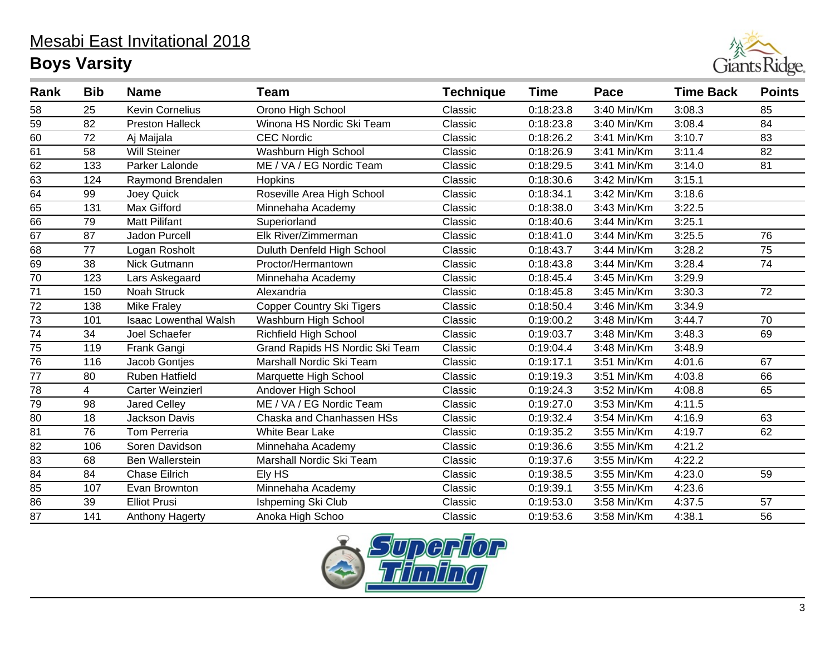

| Rank            | <b>Bib</b> | <b>Name</b>                  | Team                             | <b>Technique</b> | <b>Time</b> | Pace          | <b>Time Back</b> | <b>Points</b> |
|-----------------|------------|------------------------------|----------------------------------|------------------|-------------|---------------|------------------|---------------|
| 58              | 25         | <b>Kevin Cornelius</b>       | Orono High School                | Classic          | 0:18:23.8   | 3:40 Min/Km   | 3:08.3           | 85            |
| 59              | 82         | <b>Preston Halleck</b>       | Winona HS Nordic Ski Team        | Classic          | 0:18:23.8   | 3:40 Min/Km   | 3:08.4           | 84            |
| 60              | 72         | Aj Maijala                   | <b>CEC Nordic</b>                | Classic          | 0:18:26.2   | 3:41 Min/Km   | 3:10.7           | 83            |
| 61              | 58         | Will Steiner                 | Washburn High School             | Classic          | 0:18:26.9   | 3:41 Min/Km   | 3:11.4           | 82            |
| $\overline{62}$ | 133        | Parker Lalonde               | ME / VA / EG Nordic Team         | Classic          | 0:18:29.5   | 3:41 Min/Km   | 3:14.0           | 81            |
| 63              | 124        | Raymond Brendalen            | Hopkins                          | Classic          | 0:18:30.6   | 3:42 Min/Km   | 3:15.1           |               |
| $\overline{64}$ | 99         | Joey Quick                   | Roseville Area High School       | Classic          | 0:18:34.1   | 3:42 Min/Km   | 3:18.6           |               |
| 65              | 131        | Max Gifford                  | Minnehaha Academy                | Classic          | 0:18:38.0   | 3:43 Min/Km   | 3:22.5           |               |
| 66              | 79         | <b>Matt Pilifant</b>         | Superiorland                     | Classic          | 0:18:40.6   | 3:44 Min/Km   | 3:25.1           |               |
| 67              | 87         | <b>Jadon Purcell</b>         | Elk River/Zimmerman              | Classic          | 0:18:41.0   | 3:44 Min/Km   | 3:25.5           | 76            |
| 68              | 77         | Logan Rosholt                | Duluth Denfeld High School       | Classic          | 0:18:43.7   | 3:44 Min/Km   | 3:28.2           | 75            |
| 69              | 38         | Nick Gutmann                 | Proctor/Hermantown               | Classic          | 0:18:43.8   | 3:44 Min/Km   | 3:28.4           | 74            |
| $\overline{70}$ | 123        | Lars Askegaard               | Minnehaha Academy                | Classic          | 0:18:45.4   | 3:45 Min/Km   | 3:29.9           |               |
| 71              | 150        | Noah Struck                  | Alexandria                       | Classic          | 0:18:45.8   | 3:45 Min/Km   | 3:30.3           | 72            |
| $\overline{72}$ | 138        | <b>Mike Fraley</b>           | <b>Copper Country Ski Tigers</b> | Classic          | 0:18:50.4   | 3:46 Min/Km   | 3:34.9           |               |
| 73              | 101        | <b>Isaac Lowenthal Walsh</b> | Washburn High School             | Classic          | 0:19:00.2   | 3:48 Min/Km   | 3:44.7           | 70            |
| $\overline{74}$ | 34         | Joel Schaefer                | <b>Richfield High School</b>     | Classic          | 0:19:03.7   | $3:48$ Min/Km | 3:48.3           | 69            |
| 75              | 119        | Frank Gangi                  | Grand Rapids HS Nordic Ski Team  | Classic          | 0:19:04.4   | 3:48 Min/Km   | 3:48.9           |               |
| 76              | 116        | Jacob Gontjes                | Marshall Nordic Ski Team         | Classic          | 0:19:17.1   | 3:51 Min/Km   | 4:01.6           | 67            |
| 77              | 80         | <b>Ruben Hatfield</b>        | Marquette High School            | Classic          | 0:19:19.3   | 3:51 Min/Km   | 4:03.8           | 66            |
| $\overline{78}$ | 4          | <b>Carter Weinzierl</b>      | Andover High School              | Classic          | 0:19:24.3   | 3:52 Min/Km   | 4:08.8           | 65            |
| 79              | 98         | <b>Jared Celley</b>          | ME / VA / EG Nordic Team         | Classic          | 0:19:27.0   | 3:53 Min/Km   | 4:11.5           |               |
| 80              | 18         | Jackson Davis                | Chaska and Chanhassen HSs        | Classic          | 0:19:32.4   | 3:54 Min/Km   | 4:16.9           | 63            |
| 81              | 76         | <b>Tom Perreria</b>          | <b>White Bear Lake</b>           | Classic          | 0:19:35.2   | 3:55 Min/Km   | 4:19.7           | 62            |
| $\overline{82}$ | 106        | Soren Davidson               | Minnehaha Academy                | Classic          | 0:19:36.6   | 3:55 Min/Km   | 4:21.2           |               |
| 83              | 68         | <b>Ben Wallerstein</b>       | Marshall Nordic Ski Team         | Classic          | 0:19:37.6   | 3:55 Min/Km   | 4:22.2           |               |
| $\overline{84}$ | 84         | <b>Chase Eilrich</b>         | Ely HS                           | Classic          | 0:19:38.5   | 3:55 Min/Km   | 4:23.0           | 59            |
| 85              | 107        | Evan Brownton                | Minnehaha Academy                | Classic          | 0:19:39.1   | 3:55 Min/Km   | 4:23.6           |               |
| $\overline{86}$ | 39         | <b>Elliot Prusi</b>          | Ishpeming Ski Club               | Classic          | 0:19:53.0   | 3:58 Min/Km   | 4:37.5           | 57            |
| 87              | 141        | Anthony Hagerty              | Anoka High Schoo                 | Classic          | 0:19:53.6   | 3:58 Min/Km   | 4:38.1           | 56            |

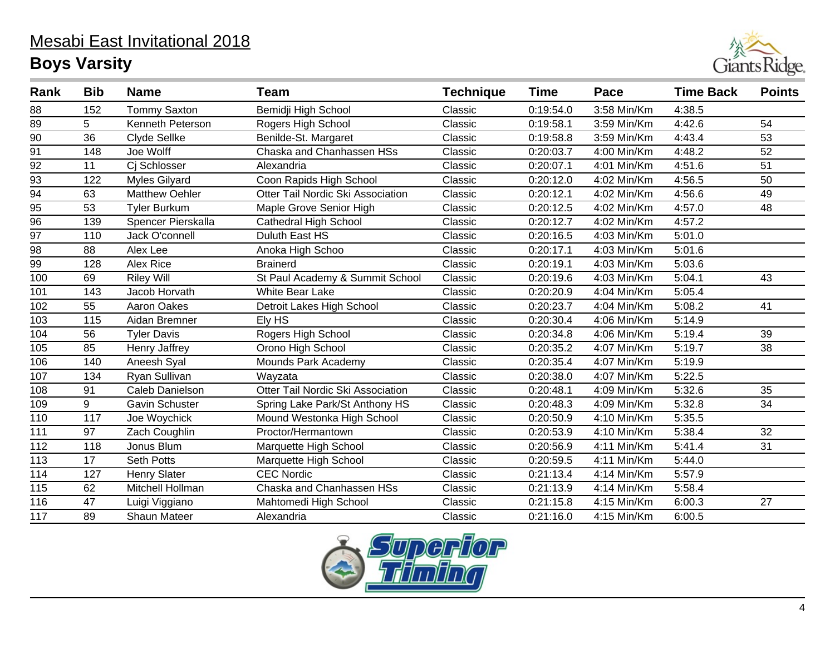

| Rank             | <b>Bib</b> | <b>Name</b>           | <b>Team</b>                       | <b>Technique</b> | <b>Time</b> | Pace        | <b>Time Back</b> | <b>Points</b> |
|------------------|------------|-----------------------|-----------------------------------|------------------|-------------|-------------|------------------|---------------|
| 88               | 152        | <b>Tommy Saxton</b>   | Bemidji High School               | Classic          | 0:19:54.0   | 3:58 Min/Km | 4:38.5           |               |
| 89               | 5          | Kenneth Peterson      | Rogers High School                | Classic          | 0:19:58.1   | 3:59 Min/Km | 4:42.6           | 54            |
| 90               | 36         | Clyde Sellke          | Benilde-St. Margaret              | Classic          | 0:19:58.8   | 3:59 Min/Km | 4:43.4           | 53            |
| 91               | 148        | Joe Wolff             | Chaska and Chanhassen HSs         | Classic          | 0:20:03.7   | 4:00 Min/Km | 4:48.2           | 52            |
| $\frac{92}{2}$   | 11         | Ci Schlosser          | Alexandria                        | Classic          | 0:20:07.1   | 4:01 Min/Km | 4:51.6           | 51            |
| 93               | 122        | <b>Myles Gilyard</b>  | Coon Rapids High School           | Classic          | 0:20:12.0   | 4:02 Min/Km | 4:56.5           | 50            |
| $\overline{94}$  | 63         | <b>Matthew Oehler</b> | Otter Tail Nordic Ski Association | Classic          | 0:20:12.1   | 4:02 Min/Km | 4:56.6           | 49            |
| $\overline{95}$  | 53         | <b>Tyler Burkum</b>   | Maple Grove Senior High           | Classic          | 0:20:12.5   | 4:02 Min/Km | 4:57.0           | 48            |
| $\overline{96}$  | 139        | Spencer Pierskalla    | <b>Cathedral High School</b>      | Classic          | 0:20:12.7   | 4:02 Min/Km | 4:57.2           |               |
| $\overline{97}$  | 110        | Jack O'connell        | Duluth East HS                    | Classic          | 0:20:16.5   | 4:03 Min/Km | 5:01.0           |               |
| 98               | 88         | Alex Lee              | Anoka High Schoo                  | Classic          | 0:20:17.1   | 4:03 Min/Km | 5:01.6           |               |
| $\overline{99}$  | 128        | Alex Rice             | <b>Brainerd</b>                   | Classic          | 0:20:19.1   | 4:03 Min/Km | 5:03.6           |               |
| 100              | 69         | <b>Riley Will</b>     | St Paul Academy & Summit School   | Classic          | 0:20:19.6   | 4:03 Min/Km | 5:04.1           | 43            |
| 101              | 143        | Jacob Horvath         | <b>White Bear Lake</b>            | Classic          | 0:20:20.9   | 4:04 Min/Km | 5:05.4           |               |
| 102              | 55         | <b>Aaron Oakes</b>    | Detroit Lakes High School         | Classic          | 0:20:23.7   | 4:04 Min/Km | 5:08.2           | 41            |
| 103              | 115        | Aidan Bremner         | Ely HS                            | Classic          | 0:20:30.4   | 4:06 Min/Km | 5:14.9           |               |
| 104              | 56         | <b>Tyler Davis</b>    | Rogers High School                | Classic          | 0:20:34.8   | 4:06 Min/Km | 5:19.4           | 39            |
| 105              | 85         | Henry Jaffrey         | Orono High School                 | Classic          | 0:20:35.2   | 4:07 Min/Km | 5:19.7           | 38            |
| 106              | 140        | Aneesh Syal           | Mounds Park Academy               | Classic          | 0:20:35.4   | 4:07 Min/Km | 5:19.9           |               |
| 107              | 134        | Ryan Sullivan         | Wayzata                           | Classic          | 0:20:38.0   | 4:07 Min/Km | 5:22.5           |               |
| 108              | 91         | Caleb Danielson       | Otter Tail Nordic Ski Association | Classic          | 0:20:48.1   | 4:09 Min/Km | 5:32.6           | 35            |
| 109              | 9          | Gavin Schuster        | Spring Lake Park/St Anthony HS    | Classic          | 0:20:48.3   | 4:09 Min/Km | 5:32.8           | 34            |
| 110              | 117        | Joe Woychick          | Mound Westonka High School        | Classic          | 0:20:50.9   | 4:10 Min/Km | 5:35.5           |               |
| 111              | 97         | Zach Coughlin         | Proctor/Hermantown                | Classic          | 0:20:53.9   | 4:10 Min/Km | 5:38.4           | 32            |
| 112              | 118        | Jonus Blum            | Marquette High School             | Classic          | 0:20:56.9   | 4:11 Min/Km | 5:41.4           | 31            |
| 113              | 17         | <b>Seth Potts</b>     | Marquette High School             | Classic          | 0:20:59.5   | 4:11 Min/Km | 5:44.0           |               |
| 114              | 127        | <b>Henry Slater</b>   | <b>CEC Nordic</b>                 | Classic          | 0:21:13.4   | 4:14 Min/Km | 5:57.9           |               |
| 115              | 62         | Mitchell Hollman      | Chaska and Chanhassen HSs         | Classic          | 0:21:13.9   | 4:14 Min/Km | 5:58.4           |               |
| 116              | 47         | Luigi Viggiano        | Mahtomedi High School             | Classic          | 0:21:15.8   | 4:15 Min/Km | 6:00.3           | 27            |
| $\overline{117}$ | 89         | <b>Shaun Mateer</b>   | Alexandria                        | Classic          | 0:21:16.0   | 4:15 Min/Km | 6:00.5           |               |